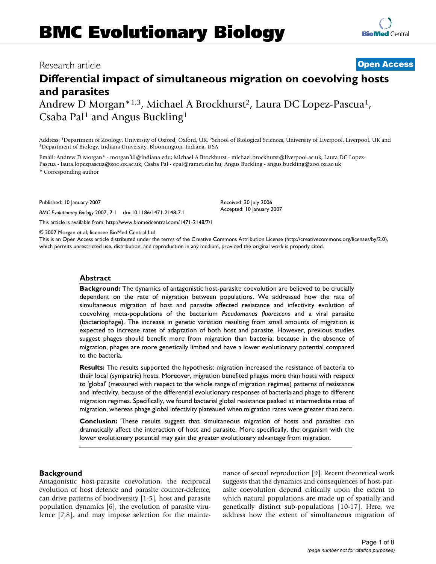# **BMC Evolutionary Biology**

### Research article **[Open Access](http://www.biomedcentral.com/info/about/charter/)**

## **Differential impact of simultaneous migration on coevolving hosts and parasites**

Andrew D Morgan<sup>\*1,3</sup>, Michael A Brockhurst<sup>2</sup>, Laura DC Lopez-Pascua<sup>1</sup>, Csaba Pal<sup>1</sup> and Angus Buckling<sup>1</sup>

Address: <sup>1</sup>Department of Zoology, University of Oxford, Oxford, UK, <sup>2</sup>School of Biological Sciences, University of Liverpool, Liverpool, UK and <sup>3</sup>Department of Biology, Indiana University, Bloomington, Indiana, USA

Email: Andrew D Morgan\* - morgan30@indiana.edu; Michael A Brockhurst - michael.brockhurst@liverpool.ac.uk; Laura DC Lopez-Pascua - laura.lopezpascua@zoo.ox.ac.uk; Csaba Pal - cpal@ramet.elte.hu; Angus Buckling - angus.buckling@zoo.ox.ac.uk \* Corresponding author

Published: 10 January 2007

*BMC Evolutionary Biology* 2007, **7**:1 doi:10.1186/1471-2148-7-1

[This article is available from: http://www.biomedcentral.com/1471-2148/7/1](http://www.biomedcentral.com/1471-2148/7/1)

© 2007 Morgan et al; licensee BioMed Central Ltd.

This is an Open Access article distributed under the terms of the Creative Commons Attribution License [\(http://creativecommons.org/licenses/by/2.0\)](http://creativecommons.org/licenses/by/2.0), which permits unrestricted use, distribution, and reproduction in any medium, provided the original work is properly cited.

#### **Abstract**

**Background:** The dynamics of antagonistic host-parasite coevolution are believed to be crucially dependent on the rate of migration between populations. We addressed how the rate of simultaneous migration of host and parasite affected resistance and infectivity evolution of coevolving meta-populations of the bacterium *Pseudomonas fluorescens* and a viral parasite (bacteriophage). The increase in genetic variation resulting from small amounts of migration is expected to increase rates of adaptation of both host and parasite. However, previous studies suggest phages should benefit more from migration than bacteria; because in the absence of migration, phages are more genetically limited and have a lower evolutionary potential compared to the bacteria.

**Results:** The results supported the hypothesis: migration increased the resistance of bacteria to their local (sympatric) hosts. Moreover, migration benefited phages more than hosts with respect to 'global' (measured with respect to the whole range of migration regimes) patterns of resistance and infectivity, because of the differential evolutionary responses of bacteria and phage to different migration regimes. Specifically, we found bacterial global resistance peaked at intermediate rates of migration, whereas phage global infectivity plateaued when migration rates were greater than zero.

**Conclusion:** These results suggest that simultaneous migration of hosts and parasites can dramatically affect the interaction of host and parasite. More specifically, the organism with the lower evolutionary potential may gain the greater evolutionary advantage from migration.

#### **Background**

Antagonistic host-parasite coevolution, the reciprocal evolution of host defence and parasite counter-defence, can drive patterns of biodiversity [1-5], host and parasite population dynamics [6], the evolution of parasite virulence [7,8], and may impose selection for the maintenance of sexual reproduction [9]. Recent theoretical work suggests that the dynamics and consequences of host-parasite coevolution depend critically upon the extent to which natural populations are made up of spatially and genetically distinct sub-populations [10-17]. Here, we address how the extent of simultaneous migration of

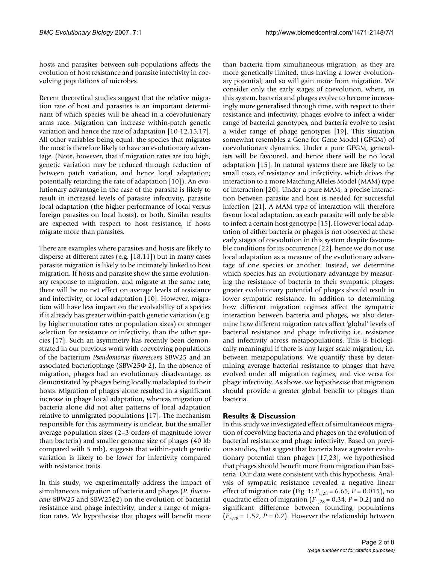hosts and parasites between sub-populations affects the evolution of host resistance and parasite infectivity in coevolving populations of microbes.

Recent theoretical studies suggest that the relative migration rate of host and parasites is an important determinant of which species will be ahead in a coevolutionary arms race. Migration can increase within-patch genetic variation and hence the rate of adaptation [10-12,15,17]. All other variables being equal, the species that migrates the most is therefore likely to have an evolutionary advantage. (Note, however, that if migration rates are too high, genetic variation may be reduced through reduction of between patch variation, and hence local adaptation; potentially retarding the rate of adaptation [10]). An evolutionary advantage in the case of the parasite is likely to result in increased levels of parasite infectivity, parasite local adaptation (the higher performance of local versus foreign parasites on local hosts), or both. Similar results are expected with respect to host resistance, if hosts migrate more than parasites.

There are examples where parasites and hosts are likely to disperse at different rates (e.g. [18,11]) but in many cases parasite migration is likely to be intimately linked to host migration. If hosts and parasite show the same evolutionary response to migration, and migrate at the same rate, there will be no net effect on average levels of resistance and infectivity, or local adaptation [10]. However, migration will have less impact on the evolvability of a species if it already has greater within-patch genetic variation (e.g. by higher mutation rates or population sizes) or stronger selection for resistance or infectivity, than the other species [17]. Such an asymmetry has recently been demonstrated in our previous work with coevolving populations of the bacterium *Pseudomonas fluorescens* SBW25 and an associated bacteriophage (SBW25Φ 2). In the absence of migration, phages had an evolutionary disadvantage, as demonstrated by phages being locally maladapted to their hosts. Migration of phages alone resulted in a significant increase in phage local adaptation, whereas migration of bacteria alone did not alter patterns of local adaptation relative to unmigrated populations [17]. The mechanism responsible for this asymmetry is unclear, but the smaller average population sizes (2–3 orders of magnitude lower than bacteria) and smaller genome size of phages (40 kb compared with 5 mb), suggests that within-patch genetic variation is likely to be lower for infectivity compared with resistance traits.

In this study, we experimentally address the impact of simultaneous migration of bacteria and phages (*P. fluorescens* SBW25 and SBW25φ2) on the evolution of bacterial resistance and phage infectivity, under a range of migration rates. We hypothesise that phages will benefit more than bacteria from simultaneous migration, as they are more genetically limited, thus having a lower evolutionary potential; and so will gain more from migration. We consider only the early stages of coevolution, where, in this system, bacteria and phages evolve to become increasingly more generalised through time, with respect to their resistance and infectivity; phages evolve to infect a wider range of bacterial genotypes, and bacteria evolve to resist a wider range of phage genotypes [19]. This situation somewhat resembles a Gene for Gene Model (GFGM) of coevolutionary dynamics. Under a pure GFGM, generalists will be favoured, and hence there will be no local adaptation [15]. In natural systems there are likely to be small costs of resistance and infectivity, which drives the interaction to a more Matching Alleles Model (MAM) type of interaction [20]. Under a pure MAM, a precise interaction between parasite and host is needed for successful infection [21]. A MAM type of interaction will therefore favour local adaptation, as each parasite will only be able to infect a certain host genotype [15]. However local adaptation of either bacteria or phages is not observed at these early stages of coevolution in this system despite favourable conditions for its occurrence [22], hence we do not use local adaptation as a measure of the evolutionary advantage of one species or another. Instead, we determine which species has an evolutionary advantage by measuring the resistance of bacteria to their sympatric phages: greater evolutionary potential of phages should result in lower sympatric resistance. In addition to determining how different migration regimes affect the sympatric interaction between bacteria and phages, we also determine how different migration rates affect 'global' levels of bacterial resistance and phage infectivity; i.e. resistance and infectivity across metapopulations. This is biologically meaningful if there is any larger scale migration; i.e. between metapopulations. We quantify these by determining average bacterial resistance to phages that have evolved under all migration regimes, and vice versa for phage infectivity. As above, we hypothesise that migration should provide a greater global benefit to phages than bacteria.

#### **Results & Discussion**

In this study we investigated effect of simultaneous migration of coevolving bacteria and phages on the evolution of bacterial resistance and phage infectivity. Based on previous studies, that suggest that bacteria have a greater evolutionary potential than phages [17,23], we hypothesised that phages should benefit more from migration than bacteria. Our data were consistent with this hypothesis. Analysis of sympatric resistance revealed a negative linear effect of migration rate (Fig. 1; *F*1,28 = 6.65, *P* = 0.015), no quadratic effect of migration  $(F_{1,28} = 0.34, P = 0.2)$  and no significant difference between founding populations  $(F_{5,28} = 1.52, P = 0.2)$ . However the relationship between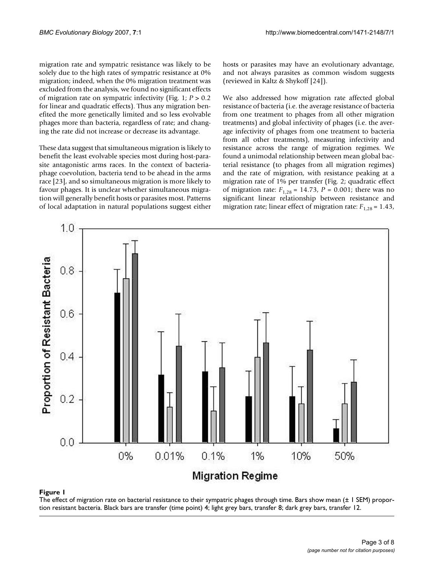migration rate and sympatric resistance was likely to be solely due to the high rates of sympatric resistance at 0% migration; indeed, when the 0% migration treatment was excluded from the analysis, we found no significant effects of migration rate on sympatric infectivity (Fig. 1; *P* > 0.2 for linear and quadratic effects). Thus any migration benefited the more genetically limited and so less evolvable phages more than bacteria, regardless of rate; and changing the rate did not increase or decrease its advantage.

These data suggest that simultaneous migration is likely to benefit the least evolvable species most during host-parasite antagonistic arms races. In the context of bacteriaphage coevolution, bacteria tend to be ahead in the arms race [23], and so simultaneous migration is more likely to favour phages. It is unclear whether simultaneous migration will generally benefit hosts or parasites most. Patterns of local adaptation in natural populations suggest either hosts or parasites may have an evolutionary advantage, and not always parasites as common wisdom suggests (reviewed in Kaltz & Shykoff [24]).

We also addressed how migration rate affected global resistance of bacteria (i.e. the average resistance of bacteria from one treatment to phages from all other migration treatments) and global infectivity of phages (i.e. the average infectivity of phages from one treatment to bacteria from all other treatments), measuring infectivity and resistance across the range of migration regimes. We found a unimodal relationship between mean global bacterial resistance (to phages from all migration regimes) and the rate of migration, with resistance peaking at a migration rate of 1% per transfer (Fig. 2; quadratic effect of migration rate:  $F_{1,28} = 14.73$ ,  $P = 0.001$ ; there was no significant linear relationship between resistance and migration rate; linear effect of migration rate:  $F_{1,28} = 1.43$ ,



#### The effect of migration **Figure 1** rate on bacterial resistance to their sympatric phages through time

The effect of migration rate on bacterial resistance to their sympatric phages through time. Bars show mean  $(\pm 1 \text{ SEM})$  proportion resistant bacteria. Black bars are transfer (time point) 4; light grey bars, transfer 8; dark grey bars, transfer 12.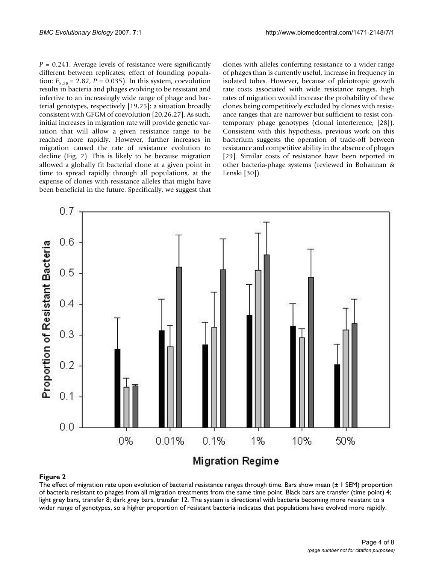$P = 0.241$ . Average levels of resistance were significantly different between replicates; effect of founding population:  $F_{5,28} = 2.82$ ,  $P = 0.035$ ). In this system, coevolution results in bacteria and phages evolving to be resistant and infective to an increasingly wide range of phage and bacterial genotypes, respectively [19,25]; a situation broadly consistent with GFGM of coevolution [20,26,27]. As such, initial increases in migration rate will provide genetic variation that will allow a given resistance range to be reached more rapidly. However, further increases in migration caused the rate of resistance evolution to decline (Fig. 2). This is likely to be because migration allowed a globally fit bacterial clone at a given point in time to spread rapidly through all populations, at the expense of clones with resistance alleles that might have been beneficial in the future. Specifically, we suggest that clones with alleles conferring resistance to a wider range of phages than is currently useful, increase in frequency in isolated tubes. However, because of pleiotropic growth rate costs associated with wide resistance ranges, high rates of migration would increase the probability of these clones being competitively excluded by clones with resistance ranges that are narrower but sufficient to resist contemporary phage genotypes (clonal interference; [28]). Consistent with this hypothesis, previous work on this bacterium suggests the operation of trade-off between resistance and competitive ability in the absence of phages [29]. Similar costs of resistance have been reported in other bacteria-phage systems (reviewed in Bohannan & Lenski [30]).



#### The effect of migration rate upon evolution rate upon evolution of  $\mathcal{L}$  resistance ranges through times through times through times through times through times through times through times through times through times th

The effect of migration rate upon evolution of bacterial resistance ranges through time. Bars show mean (± 1 SEM) proportion of bacteria resistant to phages from all migration treatments from the same time point. Black bars are transfer (time point) 4; light grey bars, transfer 8; dark grey bars, transfer 12. The system is directional with bacteria becoming more resistant to a wider range of genotypes, so a higher proportion of resistant bacteria indicates that populations have evolved more rapidly.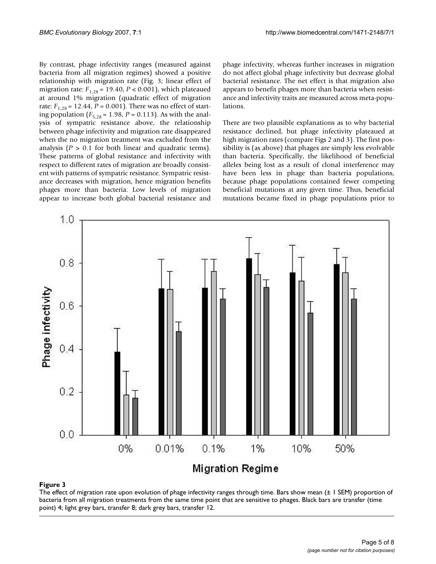By contrast, phage infectivity ranges (measured against bacteria from all migration regimes) showed a positive relationship with migration rate (Fig. 3; linear effect of migration rate:  $F_{1,28}$  = 19.40,  $P < 0.001$ ), which plateaued at around 1% migration (quadratic effect of migration rate:  $F_{1,28} = 12.44$ ,  $P = 0.001$ ). There was no effect of starting population ( $F_{5,28}$  = 1.98,  $P = 0.113$ ). As with the analysis of sympatric resistance above, the relationship between phage infectivity and migration rate disappeared when the no migration treatment was excluded from the analysis  $(P > 0.1$  for both linear and quadratic terms). These patterns of global resistance and infectivity with respect to different rates of migration are broadly consistent with patterns of sympatric resistance. Sympatric resistance decreases with migration, hence migration benefits phages more than bacteria. Low levels of migration appear to increase both global bacterial resistance and phage infectivity, whereas further increases in migration do not affect global phage infectivity but decrease global bacterial resistance. The net effect is that migration also appears to benefit phages more than bacteria when resistance and infectivity traits are measured across meta-populations.

There are two plausible explanations as to why bacterial resistance declined, but phage infectivity plateaued at high migration rates (compare Figs 2 and 3). The first possibility is (as above) that phages are simply less evolvable than bacteria. Specifically, the likelihood of beneficial alleles being lost as a result of clonal interference may have been less in phage than bacteria populations, because phage populations contained fewer competing beneficial mutations at any given time. Thus, beneficial mutations became fixed in phage populations prior to



#### The effect of migration rate upon evolution rate upon evolution  $\mathbf{F}$  is phage infectivity ranges through times through times through times through times through times through times through times through times through t

The effect of migration rate upon evolution of phage infectivity ranges through time. Bars show mean (± 1 SEM) proportion of bacteria from all migration treatments from the same time point that are sensitive to phages. Black bars are transfer (time point) 4; light grey bars, transfer 8; dark grey bars, transfer 12.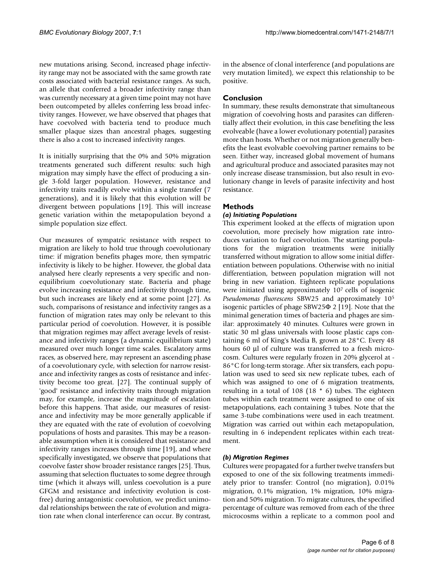new mutations arising. Second, increased phage infectivity range may not be associated with the same growth rate costs associated with bacterial resistance ranges. As such, an allele that conferred a broader infectivity range than was currently necessary at a given time point may not have been outcompeted by alleles conferring less broad infectivity ranges. However, we have observed that phages that have coevolved with bacteria tend to produce much smaller plaque sizes than ancestral phages, suggesting there is also a cost to increased infectivity ranges.

It is initially surprising that the 0% and 50% migration treatments generated such different results: such high migration may simply have the effect of producing a single 3-fold larger population. However, resistance and infectivity traits readily evolve within a single transfer (7 generations), and it is likely that this evolution will be divergent between populations [19]. This will increase genetic variation within the metapopulation beyond a simple population size effect.

Our measures of sympatric resistance with respect to migration are likely to hold true through coevolutionary time: if migration benefits phages more, then sympatric infectivity is likely to be higher. However, the global data analysed here clearly represents a very specific and nonequilibrium coevolutionary state. Bacteria and phage evolve increasing resistance and infectivity through time, but such increases are likely end at some point [27]. As such, comparisons of resistance and infectivity ranges as a function of migration rates may only be relevant to this particular period of coevolution. However, it is possible that migration regimes may affect average levels of resistance and infectivity ranges (a dynamic equilibrium state) measured over much longer time scales. Escalatory arms races, as observed here, may represent an ascending phase of a coevolutionary cycle, with selection for narrow resistance and infectivity ranges as costs of resistance and infectivity become too great. [27]. The continual supply of 'good' resistance and infectivity traits through migration may, for example, increase the magnitude of escalation before this happens. That aside, our measures of resistance and infectivity may be more generally applicable if they are equated with the rate of evolution of coevolving populations of hosts and parasites. This may be a reasonable assumption when it is considered that resistance and infectivity ranges increases through time [19], and where specifically investigated, we observe that populations that coevolve faster show broader resistance ranges [25]. Thus, assuming that selection fluctuates to some degree through time (which it always will, unless coevolution is a pure GFGM and resistance and infectivity evolution is costfree) during antagonistic coevolution, we predict unimodal relationships between the rate of evolution and migration rate when clonal interference can occur. By contrast,

in the absence of clonal interference (and populations are very mutation limited), we expect this relationship to be positive.

#### **Conclusion**

In summary, these results demonstrate that simultaneous migration of coevolving hosts and parasites can differentially affect their evolution, in this case benefiting the less evolveable (have a lower evolutionary potential) parasites more than hosts. Whether or not migration generally benefits the least evolvable coevolving partner remains to be seen. Either way, increased global movement of humans and agricultural produce and associated parasites may not only increase disease transmission, but also result in evolutionary change in levels of parasite infectivity and host resistance.

#### **Methods**

#### *(a) Initiating Populations*

This experiment looked at the effects of migration upon coevolution, more precisely how migration rate introduces variation to fuel coevolution. The starting populations for the migration treatments were initially transferred without migration to allow some initial differentiation between populations. Otherwise with no initial differentiation, between population migration will not bring in new variation. Eighteen replicate populations were initiated using approximately 107 cells of isogenic *Pseudomonas fluorescens* SBW25 and approximately 105 isogenic particles of phage SBW25Φ 2 [19]. Note that the minimal generation times of bacteria and phages are similar: approximately 40 minutes. Cultures were grown in static 30 ml glass universals with loose plastic caps containing 6 ml of King's Media B, grown at 28°C. Every 48 hours 60 μl of culture was transferred to a fresh microcosm. Cultures were regularly frozen in 20% glycerol at - 86°C for long-term storage. After six transfers, each population was used to seed six new replicate tubes, each of which was assigned to one of 6 migration treatments, resulting in a total of 108 (18 \* 6) tubes. The eighteen tubes within each treatment were assigned to one of six metapopulations, each containing 3 tubes. Note that the same 3-tube combinations were used in each treatment. Migration was carried out within each metapopulation, resulting in 6 independent replicates within each treatment.

#### *(b) Migration Regimes*

Cultures were propagated for a further twelve transfers but exposed to one of the six following treatments immediately prior to transfer: Control (no migration), 0.01% migration, 0.1% migration, 1% migration, 10% migration and 50% migration. To migrate cultures, the specified percentage of culture was removed from each of the three microcosms within a replicate to a common pool and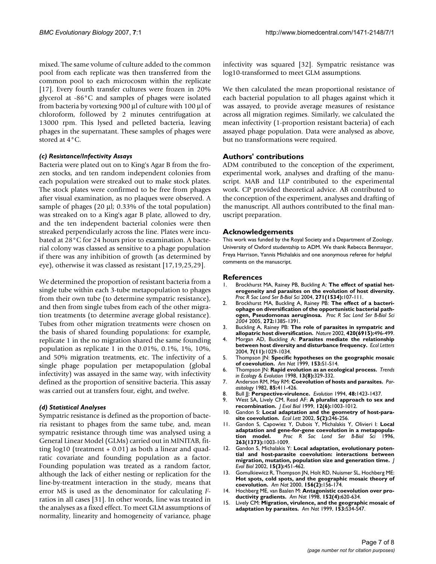mixed. The same volume of culture added to the common pool from each replicate was then transferred from the common pool to each microcosm within the replicate [17]. Every fourth transfer cultures were frozen in 20% glycerol at -86°C and samples of phages were isolated from bacteria by vortexing 900 μl of culture with 100 μl of chloroform, followed by 2 minutes centrifugation at 13000 rpm. This lysed and pelleted bacteria, leaving phages in the supernatant. These samples of phages were stored at 4°C.

#### *(c) Resistance/Infectivity Assays*

Bacteria were plated out on to King's Agar B from the frozen stocks, and ten random independent colonies from each population were streaked out to make stock plates. The stock plates were confirmed to be free from phages after visual examination, as no plaques were observed. A sample of phages (20 μl; 0.33% of the total population) was streaked on to a King's agar B plate, allowed to dry, and the ten independent bacterial colonies were then streaked perpendicularly across the line. Plates were incubated at 28°C for 24 hours prior to examination. A bacterial colony was classed as sensitive to a phage population if there was any inhibition of growth (as determined by eye), otherwise it was classed as resistant [17,19,25,29].

We determined the proportion of resistant bacteria from a single tube within each 3-tube metapopulation to phages from their own tube (to determine sympatric resistance), and then from single tubes from each of the other migration treatments (to determine average global resistance). Tubes from other migration treatments were chosen on the basis of shared founding populations: for example, replicate 1 in the no migration shared the same founding population as replicate 1 in the  $0.01\%$ ,  $0.1\%$ ,  $1\%$ ,  $10\%$ , and 50% migration treatments, etc. The infectivity of a single phage population per metapopulation (global infectivity) was assayed in the same way, with infectivity defined as the proportion of sensitive bacteria. This assay was carried out at transfers four, eight, and twelve.

#### *(d) Statistical Analyses*

Sympatric resistance is defined as the proportion of bacteria resistant to phages from the same tube, and, mean sympatric resistance through time was analysed using a General Linear Model (GLMs) carried out in MINITAB, fitting  $log10$  (treatment  $+0.01$ ) as both a linear and quadratic covariate and founding population as a factor. Founding population was treated as a random factor, although the lack of either nesting or replication for the line-by-treatment interaction in the study, means that error MS is used as the denominator for calculating *F*ratios in all cases [31]. In other words, line was treated in the analyses as a fixed effect. To meet GLM assumptions of normality, linearity and homogeneity of variance, phage infectivity was squared [32]. Sympatric resistance was log10-transformed to meet GLM assumptions.

We then calculated the mean proportional resistance of each bacterial population to all phages against which it was assayed, to provide average measures of resistance across all migration regimes. Similarly, we calculated the mean infectivity (1-proportion resistant bacteria) of each assayed phage population. Data were analysed as above, but no transformations were required.

#### **Authors' contributions**

ADM contributed to the conception of the experiment, experimental work, analyses and drafting of the manuscript. MAB and LLP contributed to the experimental work. CP provided theoretical advice. AB contributed to the conception of the experiment, analyses and drafting of the manuscript. All authors contributed to the final manuscript preparation.

#### **Acknowledgements**

This work was funded by the Royal Society and a Department of Zoology, University of Oxford studentship to ADM. We thank Rebecca Benmayor, Freya Harrison, Yannis Michalakis and one anonymous referee for helpful comments on the manuscript.

#### **References**

- Brockhurst MA, Rainey PB, Buckling A: The effect of spatial het**erogeneity and parasites on the evolution of host diversity.** *Proc R Soc Lond Ser B-Biol Sci* 2004, **271(1534):**107-111.
- 2. Brockhurst MA, Buckling A, Rainey PB: **The effect of a bacteriophage on diversification of the opportunistic bacterial pathogen, Pseudomonas aeruginosa.** *Proc R Soc Lond Ser B-Biol Sci 2004* 2005, **272:**1385-1391.
- 3. Buckling A, Rainey PB: **[The role of parasites in sympatric and](http://www.ncbi.nlm.nih.gov/entrez/query.fcgi?cmd=Retrieve&db=PubMed&dopt=Abstract&list_uids=12466840) [allopatric host diversification.](http://www.ncbi.nlm.nih.gov/entrez/query.fcgi?cmd=Retrieve&db=PubMed&dopt=Abstract&list_uids=12466840)** *Nature* 2002, **420(6915):**496-499.
- 4. Morgan AD, Buckling A: **Parasites mediate the relationship between host diversity and disturbance frequency.** *Ecol Letters* 2004, **7(11):**1029-1034.
- 5. Thompson JN: **Specific hypotheses on the geographic mosaic of coevolution.** *Am Nat* 1999, **153:**S1-S14.
- 6. Thompson JN: **Rapid evolution as an ecological process.** *Trends in Ecology & Evolution* 1998, **13(8):**329-332.
- 7. Anderson RM, May RM: **[Coevolution of hosts and parasites.](http://www.ncbi.nlm.nih.gov/entrez/query.fcgi?cmd=Retrieve&db=PubMed&dopt=Abstract&list_uids=6755367)** *Parasitology* 1982, **85:**411-426.
- 8. Bull JJ: **Perspective-virulence.** *Evolution* 1994, **48:**1423-1437.
- 9. West SA, Lively CM, Read AF: **A pluralist approach to sex and recombination.** *J Evol Biol* 1999, **12(6):**1003-1012.
- 10. Gandon S: **Local adaptation and the geometry of host-parasite coevolution.** *Ecol Lett* 2002, **5(2):**246-256.
- 11. Gandon S, Capowiez Y, Dubois Y, Michalakis Y, Olivieri I: **Local adaptation and gene-for-gene coevolution in a metapopula-<br>
<b>tion** model. Proc R Soc Lond Ser B-Biol Sci 1996. **tion model.** *Proc R Soc Lond Ser B-Biol Sci* 1996, **263(1373):**1003-1009.
- 12. Gandon S, Michalakis Y: **Local adaptation, evolutionary potential and host-parasite coevolution: interactions between migration, mutation, population size and generation time.** *J Evol Biol* 2002, **15(3):**451-462.
- 13. Gomulkiewicz R, Thompson JN, Holt RD, Nuismer SL, Hochberg ME: **[Hot spots, cold spots, and the geographic mosaic theory of](http://www.ncbi.nlm.nih.gov/entrez/query.fcgi?cmd=Retrieve&db=PubMed&dopt=Abstract&list_uids=10856199) [coevolution.](http://www.ncbi.nlm.nih.gov/entrez/query.fcgi?cmd=Retrieve&db=PubMed&dopt=Abstract&list_uids=10856199)** *Am Nat* 2000, **156(2):**156-174.
- 14. Hochberg ME, van Baalen M: **Antagonistic coevolution over productivity gradients.** *Am Nat* 1998, **152(4):**620-634.
- 15. Lively CM: **Migration, virulence, and the geographic mosaic of adaptation by parasites.** *Am Nat* 1999, **153:**S34-S47.